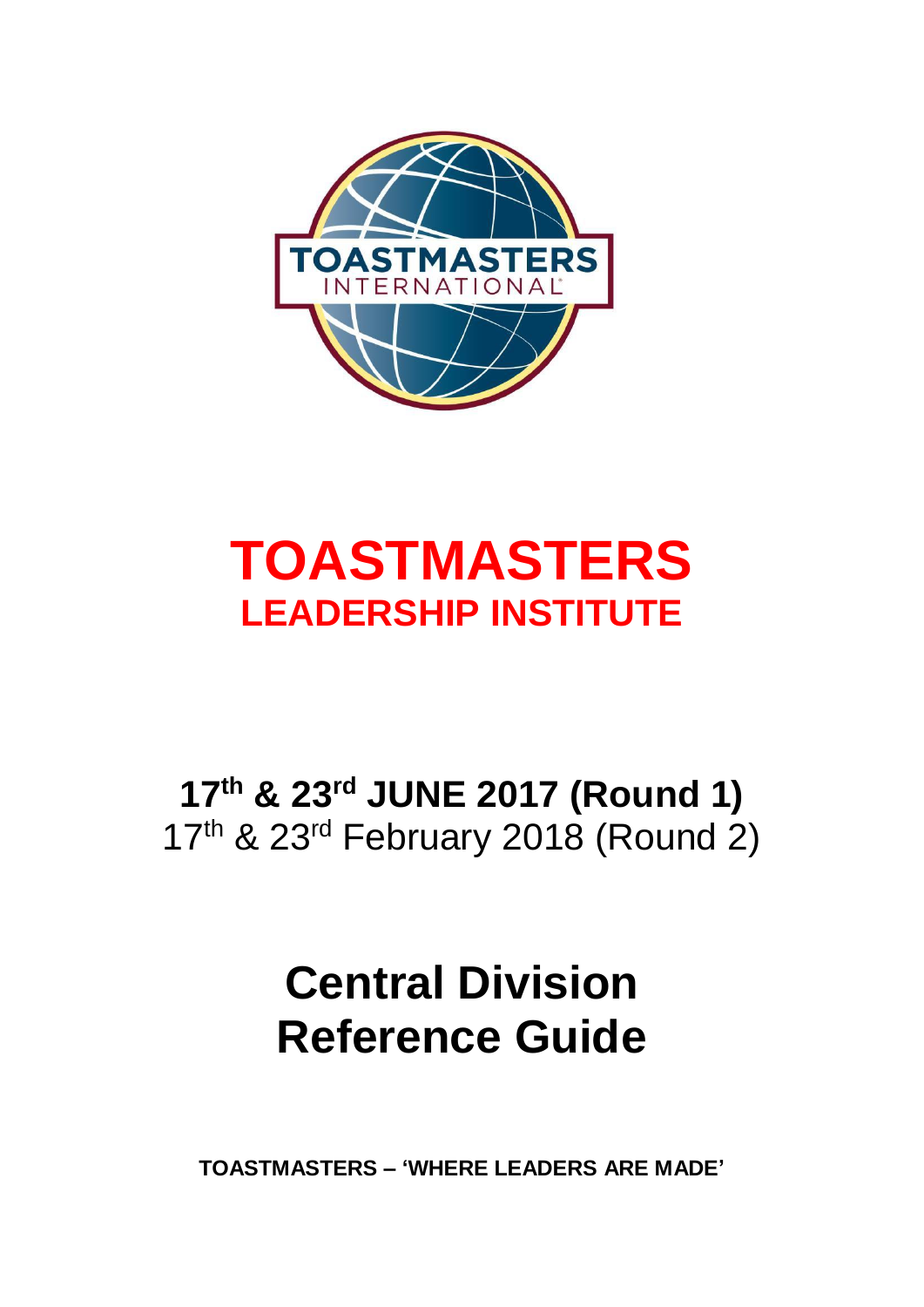

# **TOASTMASTERS LEADERSHIP INSTITUTE**

# **17th & 23rd JUNE 2017 (Round 1)** 17<sup>th</sup> & 23<sup>rd</sup> February 2018 (Round 2)

# **Central Division Reference Guide**

**TOASTMASTERS – 'WHERE LEADERS ARE MADE'**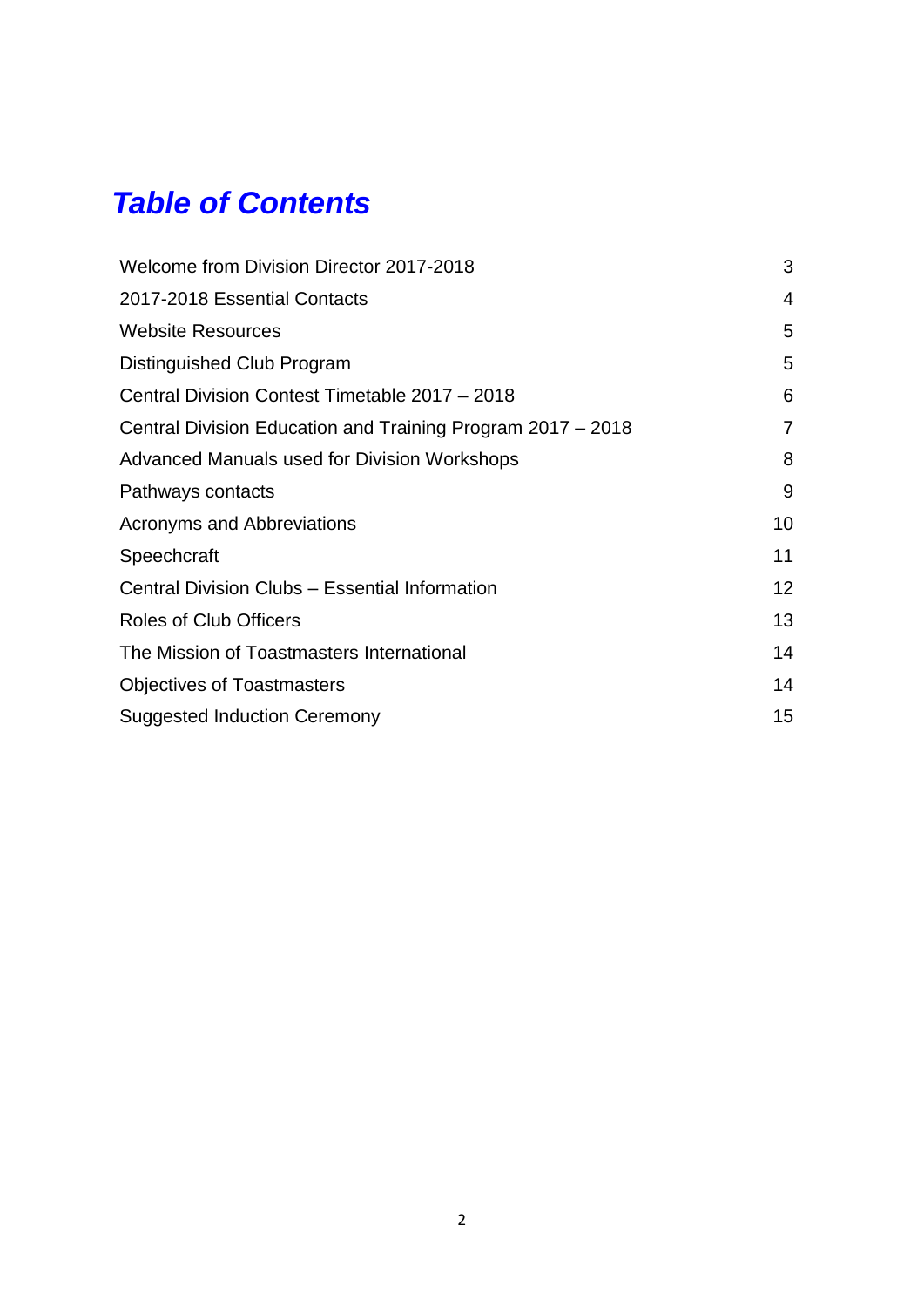# *Table of Contents*

| Welcome from Division Director 2017-2018                    | 3               |
|-------------------------------------------------------------|-----------------|
|                                                             | 4               |
| 2017-2018 Essential Contacts                                |                 |
| <b>Website Resources</b>                                    | 5               |
| Distinguished Club Program                                  | 5               |
| Central Division Contest Timetable 2017 - 2018              | 6               |
| Central Division Education and Training Program 2017 – 2018 | $\overline{7}$  |
| Advanced Manuals used for Division Workshops                | 8               |
| Pathways contacts                                           | 9               |
| <b>Acronyms and Abbreviations</b>                           | 10              |
| Speechcraft                                                 | 11              |
| Central Division Clubs - Essential Information              | 12 <sup>2</sup> |
| <b>Roles of Club Officers</b>                               | 13              |
| The Mission of Toastmasters International                   | 14              |
| <b>Objectives of Toastmasters</b>                           | 14              |
| <b>Suggested Induction Ceremony</b>                         | 15 <sub>2</sub> |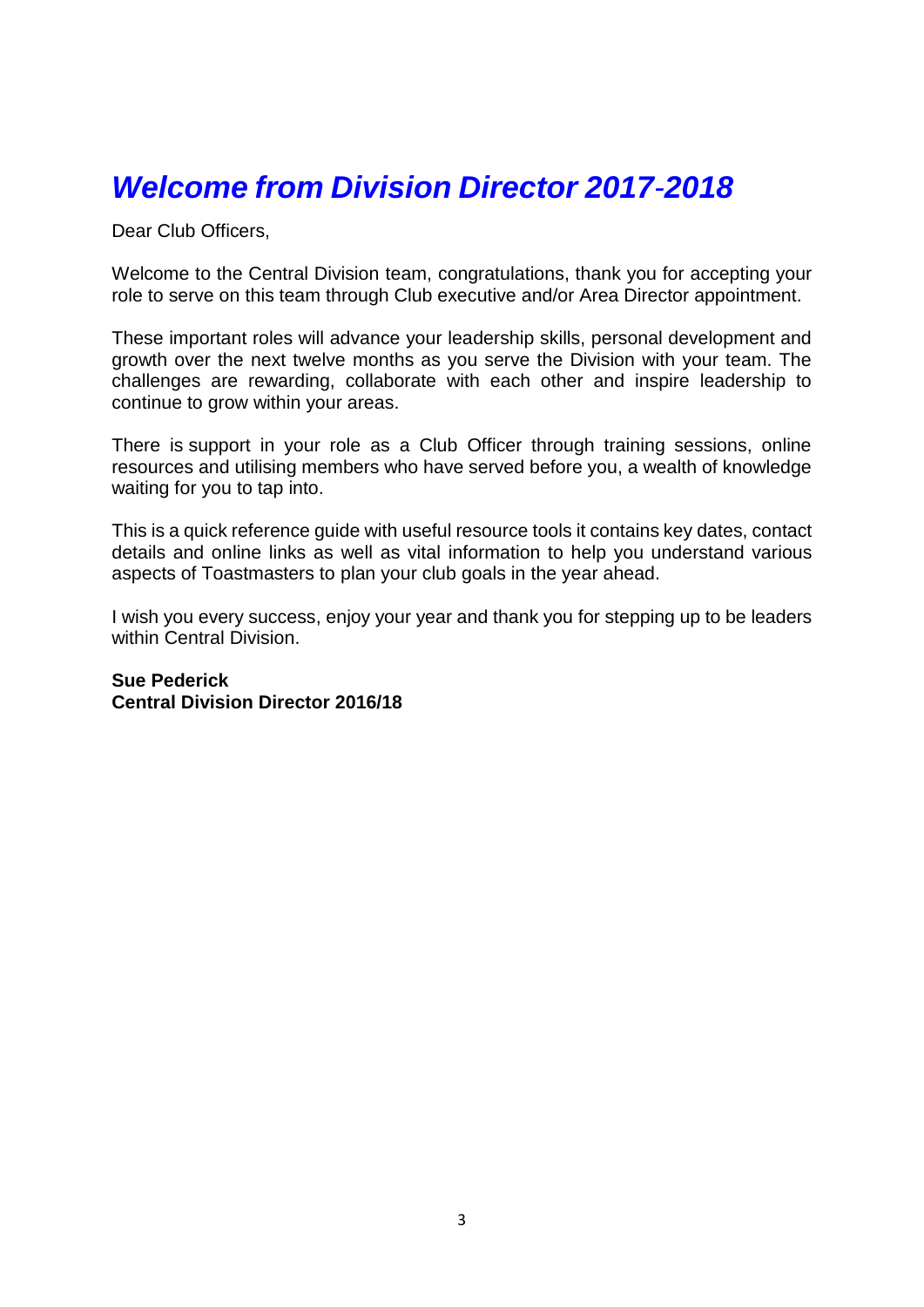### *Welcome from Division Director 2017-2018*

Dear Club Officers,

Welcome to the Central Division team, congratulations, thank you for accepting your role to serve on this team through Club executive and/or Area Director appointment.

These important roles will advance your leadership skills, personal development and growth over the next twelve months as you serve the Division with your team. The challenges are rewarding, collaborate with each other and inspire leadership to continue to grow within your areas.

There is support in your role as a Club Officer through training sessions, online resources and utilising members who have served before you, a wealth of knowledge waiting for you to tap into.

This is a quick reference guide with useful resource tools it contains key dates, contact details and online links as well as vital information to help you understand various aspects of Toastmasters to plan your club goals in the year ahead.

I wish you every success, enjoy your year and thank you for stepping up to be leaders within Central Division.

**Sue Pederick Central Division Director 2016/18**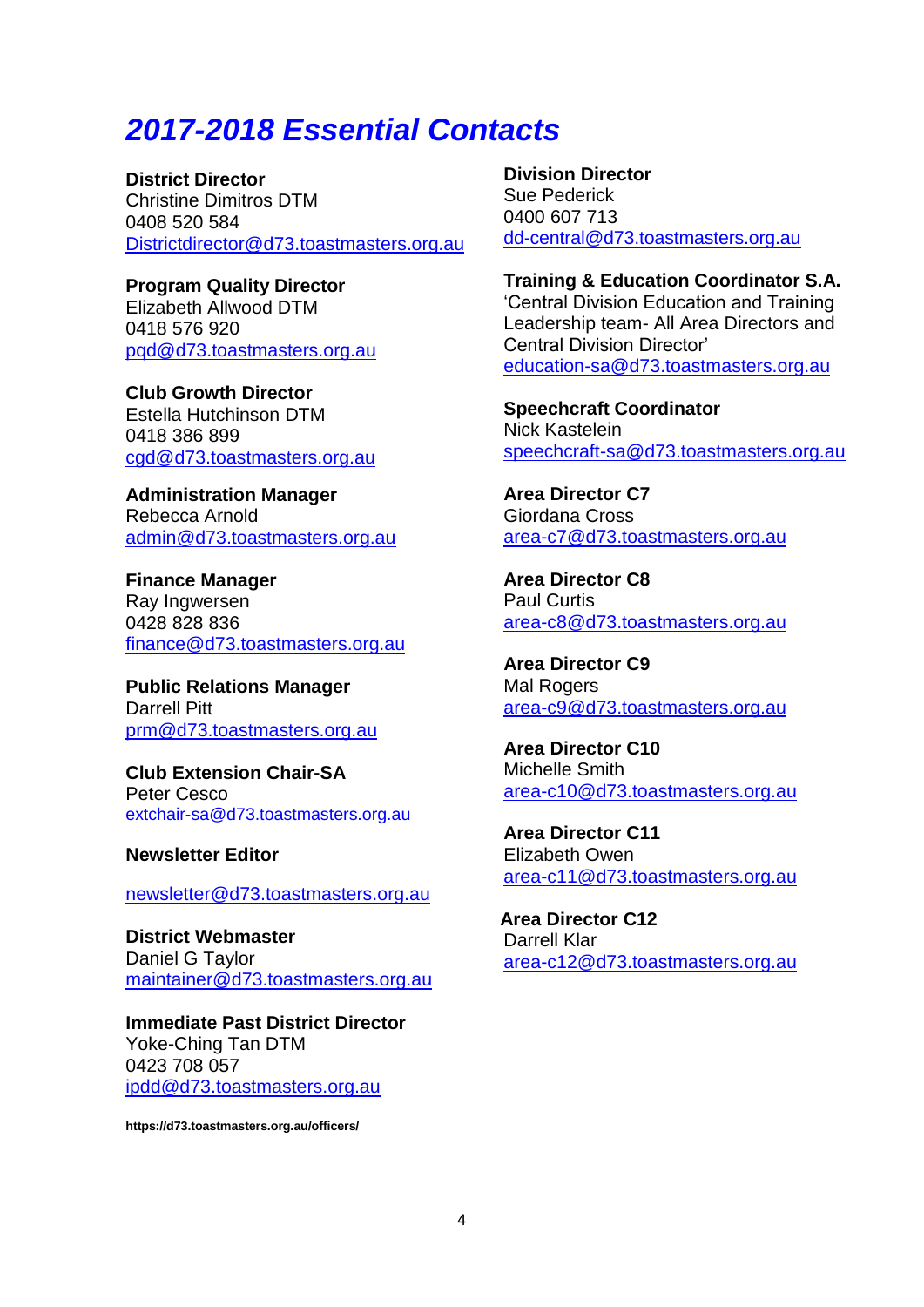#### *2017-2018 Essential Contacts*

**District Director**

Christine Dimitros DTM 0408 520 584 [Districtdirector@d73.toastmasters.org.au](mailto:Districtdirector@d73.toastmasters.org.au)

**Program Quality Director** Elizabeth Allwood DTM 0418 576 920 [pqd@d73.toastmasters.org.au](mailto:pqd@d73.toastmasters.org.au)

**Club Growth Director** Estella Hutchinson DTM 0418 386 899 [cgd@d73.toastmasters.org.au](mailto:cgd@d73.toastmasters.org.au)

**Administration Manager** Rebecca Arnold [admin@d73.toastmasters.org.au](mailto:admin@d73.toastmasters.org.au)

**Finance Manager** Ray Ingwersen [0428 828 836](file:///C:/Users/jbost/AppData/Local/Microsoft/Windows/Downloads/raskel1947@optusnet.com.au) [finance@d73.toastmasters.org.au](mailto:finance@d73.toastmasters.org.au)

**Public Relations Manager** Darrell Pitt [prm@d73.toastmasters.org.au](mailto:prm@d73.toastmasters.org.au)

**Club Extension Chair-SA** Peter Cesco [extchair-sa@d73.toastmasters.org.au](mailto:extchair-sa@d73.toastmasters.org.au)

**Newsletter Editor**

[newsletter@d73.toastmasters.org.au](mailto:newsletter@d73.toastmasters.org.au)

**District Webmaster** Daniel G Taylor [maintainer@d73.toastmasters.org.au](mailto:maintainer@d73.toastmasters.org.au)

**Immediate Past District Director** Yoke-Ching Tan DTM 0423 708 057 [ipdd@d73.toastmasters.org.au](mailto:ipdd@d73.toastmasters.org.au)

**https://d73.toastmasters.org.au/officers/**

**Division Director** Sue Pederick 0400 607 713 [dd-central@d73.toastmasters.org.au](mailto:dd-central@d73.toastmasters.org.au)

**Training & Education Coordinator S.A.** 'Central Division Education and Training Leadership team- All Area Directors and Central Division Director' [education-sa@d73.toastmasters.org.au](mailto:education-sa@d73.toastmasters.org.au)

**Speechcraft Coordinator** Nick Kastelein [speechcraft-sa@d73.toastmasters.org.au](mailto:speechcraft-sa@d73.toastmasters.org.au)

**Area Director C7** Giordana Cross [area-c7@d73.toastmasters.org.au](mailto:area-c7@d73.toastmasters.org.au)

**Area Director C8** Paul Curtis [area-c8@d73.toastmasters.org.au](mailto:area-c8@d73.toastmasters.org.au)

**Area Director C9** Mal Rogers [area-c9@d73.toastmasters.org.au](mailto:area-c9@d73.toastmasters.org.au)

**Area Director C10** Michelle Smith [area-c10@d73.toastmasters.org.au](mailto:area-c10@d73.toastmasters.org.au)

**Area Director C11** Elizabeth Owen [area-c11@d73.toastmasters.org.au](mailto:area-c11@d73.toastmasters.org.au)

 **Area Director C12** Darrell Klar [area-c12@d73.toastmasters.org.au](mailto:area-c12@d73.toastmasters.org.au)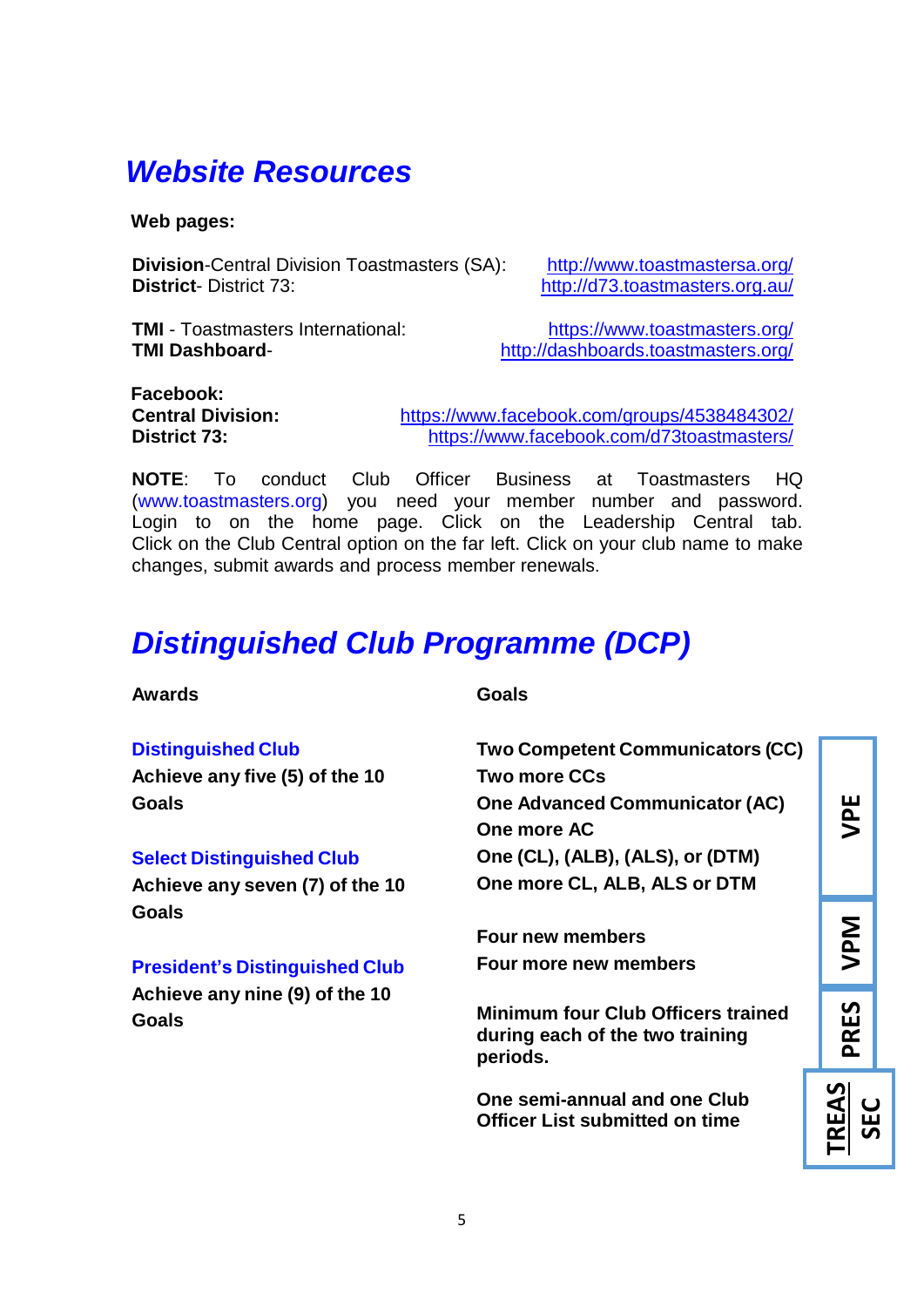### *Website Resources*

**Web pages:** 

**Division-Central Division Toastmasters (SA):** <http://www.toastmastersa.org/><br>**District-** District 73: http://d73.toastmasters.org.au/

<http://d73.toastmasters.org.au/>

**TMI** - Toastmasters International: <https://www.toastmasters.org/><br>**TMI Dashboard-** http://dashboards.toastmasters.org/ <http://dashboards.toastmasters.org/>

**Facebook:**

**Central Division:** <https://www.facebook.com/groups/4538484302/> **District 73:** <https://www.facebook.com/d73toastmasters/>

**NOTE**: To conduct Club Officer Business at Toastmasters HQ [\(www.toastmasters.org\)](http://www.toastmasters.org/) you need your member number and password. Login to on the home page. Click on the Leadership Central tab. Click on the Club Central option on the far left. Click on your club name to make changes, submit awards and process member renewals.

### *Distinguished Club Programme (DCP)*

**Awards**

#### **Distinguished Club**

**Achieve any five (5) of the 10 Goals**

#### **Select Distinguished Club**

**Achieve any seven (7) of the 10 Goals**

#### **President's Distinguished Club**

**Achieve any nine (9) of the 10 Goals**

**Goals**

**Two Competent Communicators (CC) Two more CCs One Advanced Communicator (AC) One more AC One (CL), (ALB), (ALS), or (DTM) One more CL, ALB, ALS or DTM**

**Four new members Four more new members**

**Minimum four Club Officers trained during each of the two training periods.**

**One semi-annual and one Club Officer List submitted on time**

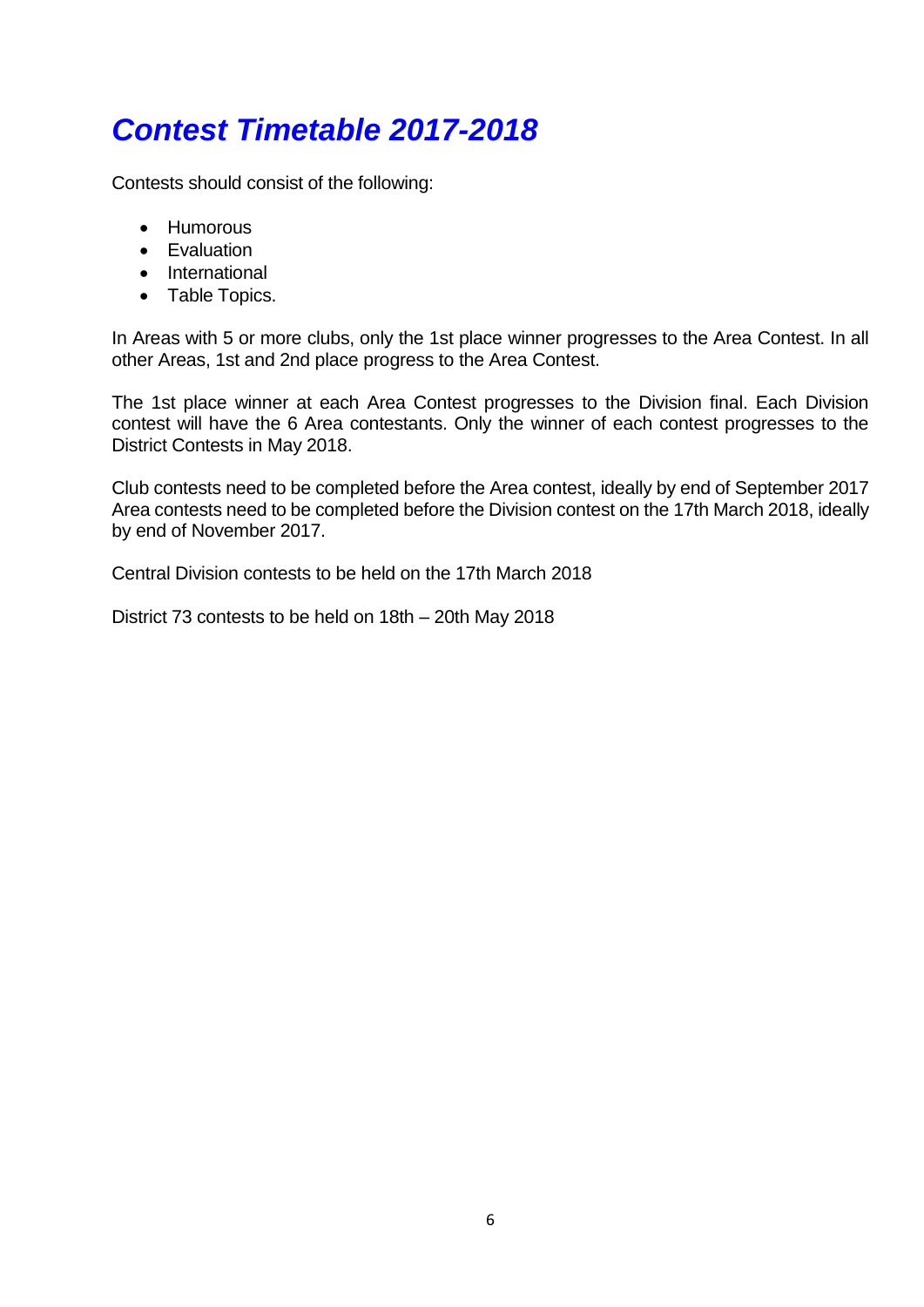# *Contest Timetable 2017-2018*

Contests should consist of the following:

- Humorous
- Evaluation
- International
- Table Topics.

In Areas with 5 or more clubs, only the 1st place winner progresses to the Area Contest. In all other Areas, 1st and 2nd place progress to the Area Contest.

The 1st place winner at each Area Contest progresses to the Division final. Each Division contest will have the 6 Area contestants. Only the winner of each contest progresses to the District Contests in May 2018.

Club contests need to be completed before the Area contest, ideally by end of September 2017 Area contests need to be completed before the Division contest on the 17th March 2018, ideally by end of November 2017.

Central Division contests to be held on the 17th March 2018

District 73 contests to be held on 18th – 20th May 2018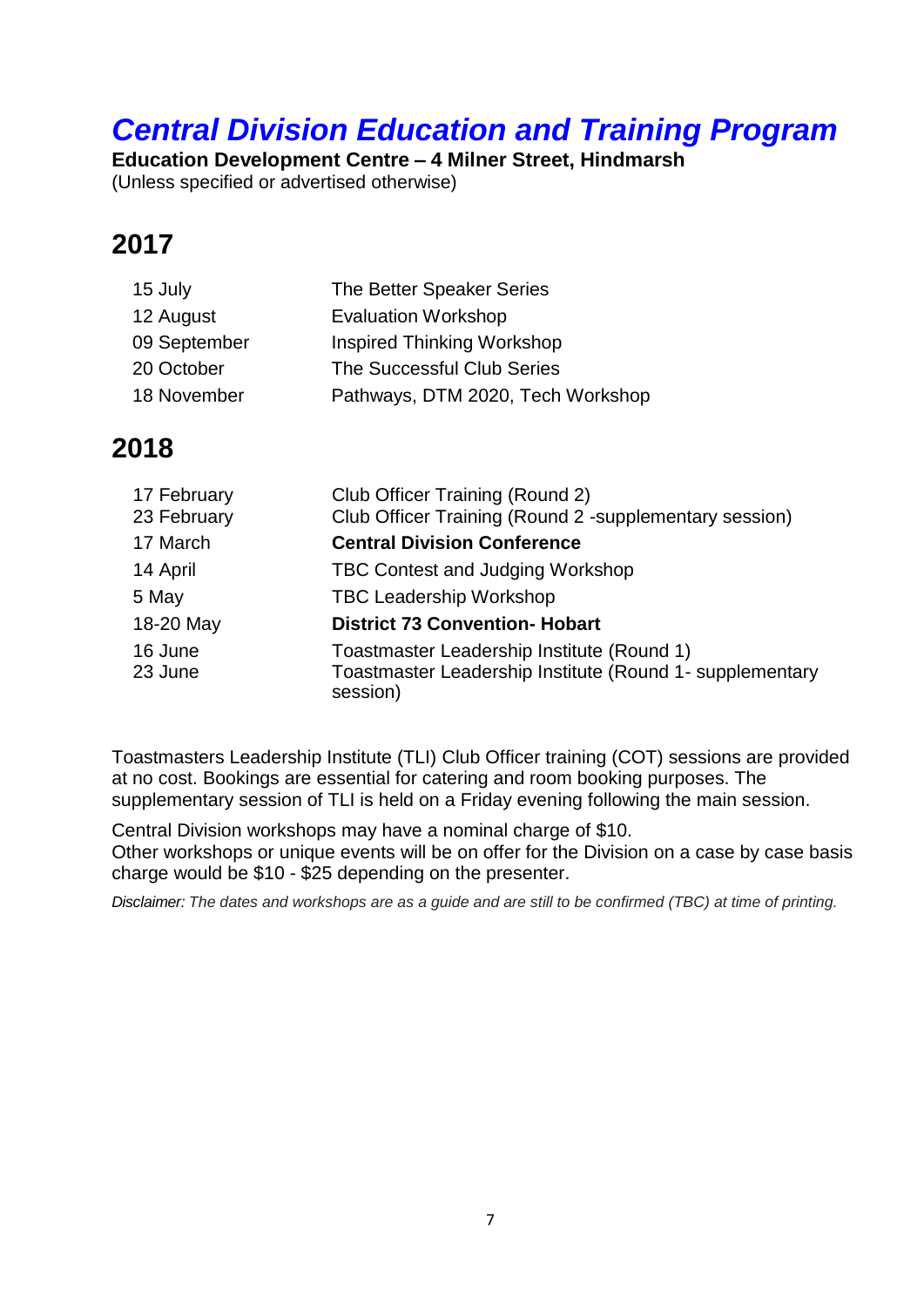# *Central Division Education and Training Program*

**Education Development Centre – 4 Milner Street, Hindmarsh** (Unless specified or advertised otherwise)

#### **2017**

| 15 July      | The Better Speaker Series         |
|--------------|-----------------------------------|
| 12 August    | <b>Evaluation Workshop</b>        |
| 09 September | <b>Inspired Thinking Workshop</b> |
| 20 October   | The Successful Club Series        |
| 18 November  | Pathways, DTM 2020, Tech Workshop |

#### **2018**

| 17 February<br>23 February | Club Officer Training (Round 2)<br>Club Officer Training (Round 2 -supplementary session)                          |
|----------------------------|--------------------------------------------------------------------------------------------------------------------|
| 17 March                   | <b>Central Division Conference</b>                                                                                 |
| 14 April                   | <b>TBC Contest and Judging Workshop</b>                                                                            |
| 5 May                      | <b>TBC Leadership Workshop</b>                                                                                     |
| 18-20 May                  | <b>District 73 Convention- Hobart</b>                                                                              |
| 16 June<br>23 June         | Toastmaster Leadership Institute (Round 1)<br>Toastmaster Leadership Institute (Round 1- supplementary<br>session) |

Toastmasters Leadership Institute (TLI) Club Officer training (COT) sessions are provided at no cost. Bookings are essential for catering and room booking purposes. The supplementary session of TLI is held on a Friday evening following the main session.

Central Division workshops may have a nominal charge of \$10. Other workshops or unique events will be on offer for the Division on a case by case basis charge would be \$10 - \$25 depending on the presenter.

*Disclaimer: The dates and workshops are as a guide and are still to be confirmed (TBC) at time of printing.*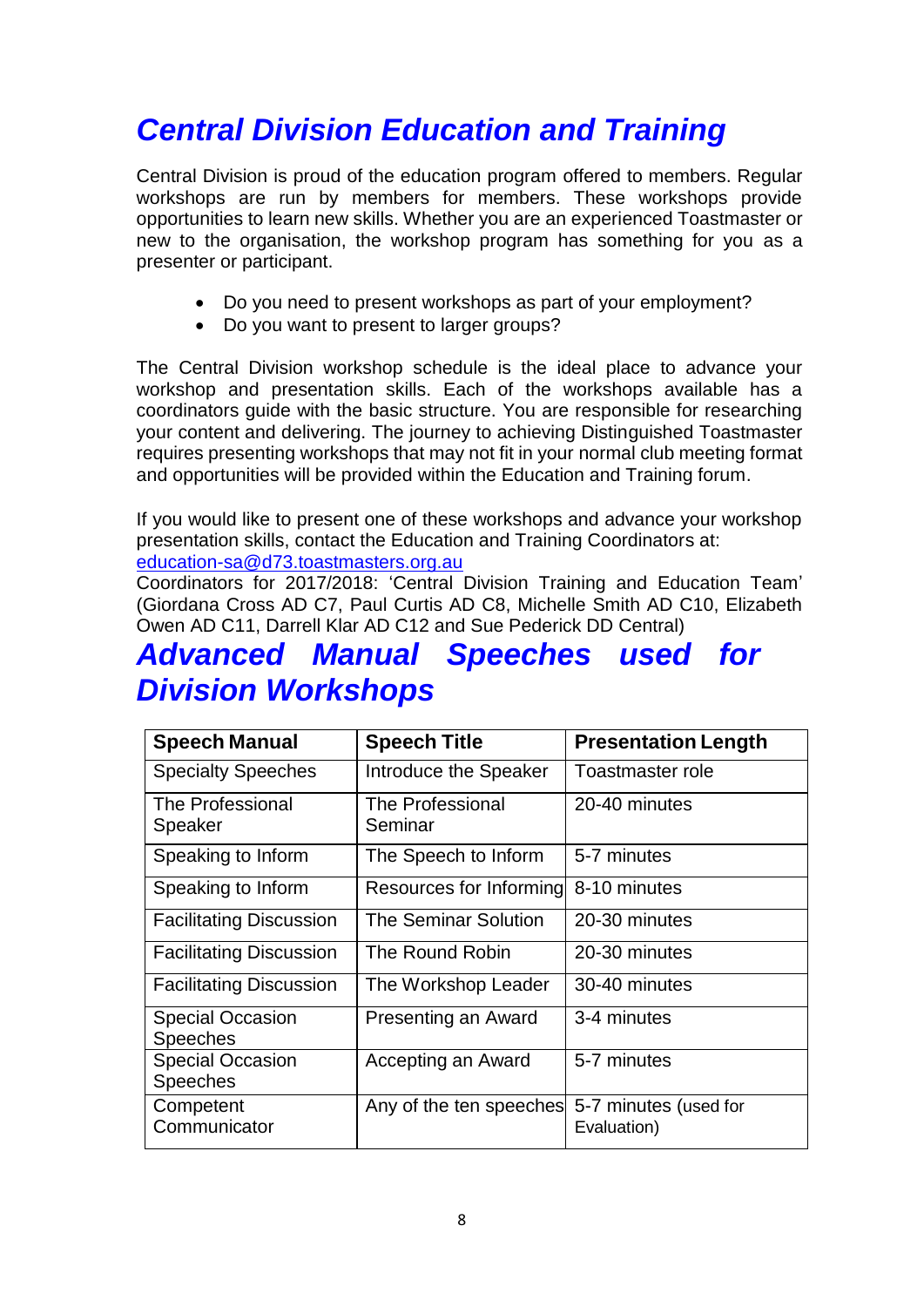# *Central Division Education and Training*

Central Division is proud of the education program offered to members. Regular workshops are run by members for members. These workshops provide opportunities to learn new skills. Whether you are an experienced Toastmaster or new to the organisation, the workshop program has something for you as a presenter or participant.

- Do you need to present workshops as part of your employment?
- Do you want to present to larger groups?

The Central Division workshop schedule is the ideal place to advance your workshop and presentation skills. Each of the workshops available has a coordinators guide with the basic structure. You are responsible for researching your content and delivering. The journey to achieving Distinguished Toastmaster requires presenting workshops that may not fit in your normal club meeting format and opportunities will be provided within the Education and Training forum.

If you would like to present one of these workshops and advance your workshop presentation skills, contact the Education and Training Coordinators at: [education-sa@d73.toastmasters.org.au](mailto:education-sa@d73.toastmasters.org.au)

Coordinators for 2017/2018: 'Central Division Training and Education Team' (Giordana Cross AD C7, Paul Curtis AD C8, Michelle Smith AD C10, Elizabeth Owen AD C11, Darrell Klar AD C12 and Sue Pederick DD Central)

### *Advanced Manual Speeches used for Division Workshops*

| <b>Speech Manual</b>                       | <b>Speech Title</b>         | <b>Presentation Length</b>           |
|--------------------------------------------|-----------------------------|--------------------------------------|
| <b>Specialty Speeches</b>                  | Introduce the Speaker       | Toastmaster role                     |
| The Professional<br>Speaker                | The Professional<br>Seminar | 20-40 minutes                        |
| Speaking to Inform                         | The Speech to Inform        | 5-7 minutes                          |
| Speaking to Inform                         | Resources for Informing     | 8-10 minutes                         |
| <b>Facilitating Discussion</b>             | The Seminar Solution        | 20-30 minutes                        |
| <b>Facilitating Discussion</b>             | The Round Robin             | 20-30 minutes                        |
| <b>Facilitating Discussion</b>             | The Workshop Leader         | 30-40 minutes                        |
| <b>Special Occasion</b><br><b>Speeches</b> | Presenting an Award         | 3-4 minutes                          |
| <b>Special Occasion</b><br><b>Speeches</b> | Accepting an Award          | 5-7 minutes                          |
| Competent<br>Communicator                  | Any of the ten speeches     | 5-7 minutes (used for<br>Evaluation) |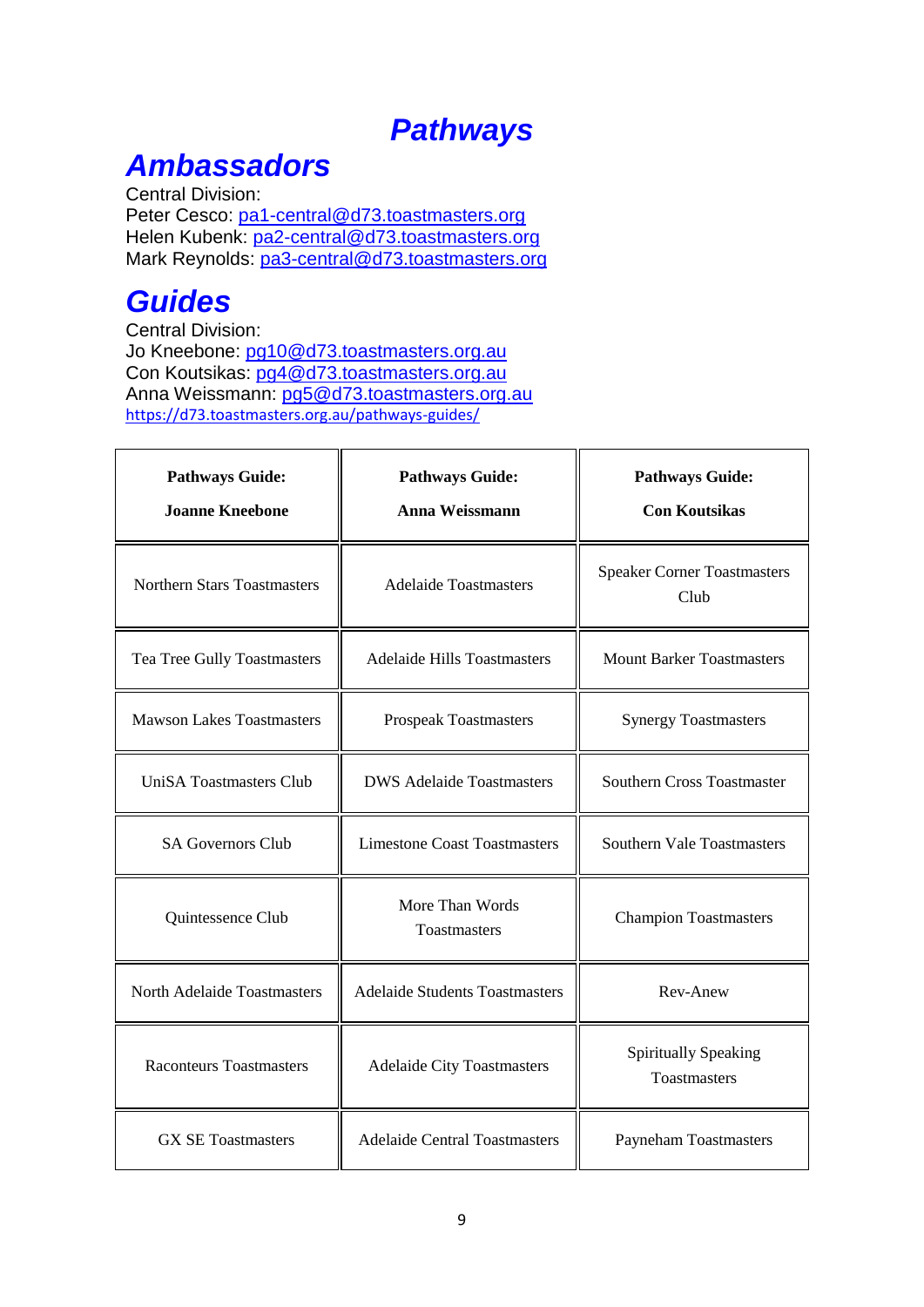### *Pathways*

### *Ambassadors*

Central Division: Peter Cesco: [pa1-central@d73.toastmasters.org](mailto:pa1-central@d73.toastmasters.org) Helen Kubenk: [pa2-central@d73.toastmasters.org](mailto:pa2-central@d73.toastmasters.org) Mark Reynolds: [pa3-central@d73.toastmasters.org](mailto:pa3-central@d73.toastmasters.org)

### *Guides*

Central Division: Jo Kneebone: [pg10@d73.toastmasters.org.au](mailto:pg10@d73.toastmasters.org.au) Con Koutsikas: [pg4@d73.toastmasters.org.au](mailto:pg4@d73.toastmasters.org.au) Anna Weissmann: [pg5@d73.toastmasters.org.au](mailto:pg5@d73.toastmasters.org.au) <https://d73.toastmasters.org.au/pathways-guides/>

| <b>Pathways Guide:</b><br><b>Joanne Kneebone</b> | <b>Pathways Guide:</b><br>Anna Weissmann | <b>Pathways Guide:</b><br><b>Con Koutsikas</b> |  |
|--------------------------------------------------|------------------------------------------|------------------------------------------------|--|
| <b>Northern Stars Toastmasters</b>               | <b>Adelaide Toastmasters</b>             | <b>Speaker Corner Toastmasters</b><br>Club     |  |
| Tea Tree Gully Toastmasters                      | <b>Adelaide Hills Toastmasters</b>       | <b>Mount Barker Toastmasters</b>               |  |
| <b>Mawson Lakes Toastmasters</b>                 | Prospeak Toastmasters                    | <b>Synergy Toastmasters</b>                    |  |
| <b>UniSA Toastmasters Club</b>                   | <b>DWS Adelaide Toastmasters</b>         | <b>Southern Cross Toastmaster</b>              |  |
| <b>SA Governors Club</b>                         | <b>Limestone Coast Toastmasters</b>      | Southern Vale Toastmasters                     |  |
| Quintessence Club                                | More Than Words<br>Toastmasters          | <b>Champion Toastmasters</b>                   |  |
| <b>North Adelaide Toastmasters</b>               | <b>Adelaide Students Toastmasters</b>    | Rev-Anew                                       |  |
| <b>Raconteurs Toastmasters</b>                   | <b>Adelaide City Toastmasters</b>        | <b>Spiritually Speaking</b><br>Toastmasters    |  |
| <b>GX SE Toastmasters</b>                        | <b>Adelaide Central Toastmasters</b>     | Payneham Toastmasters                          |  |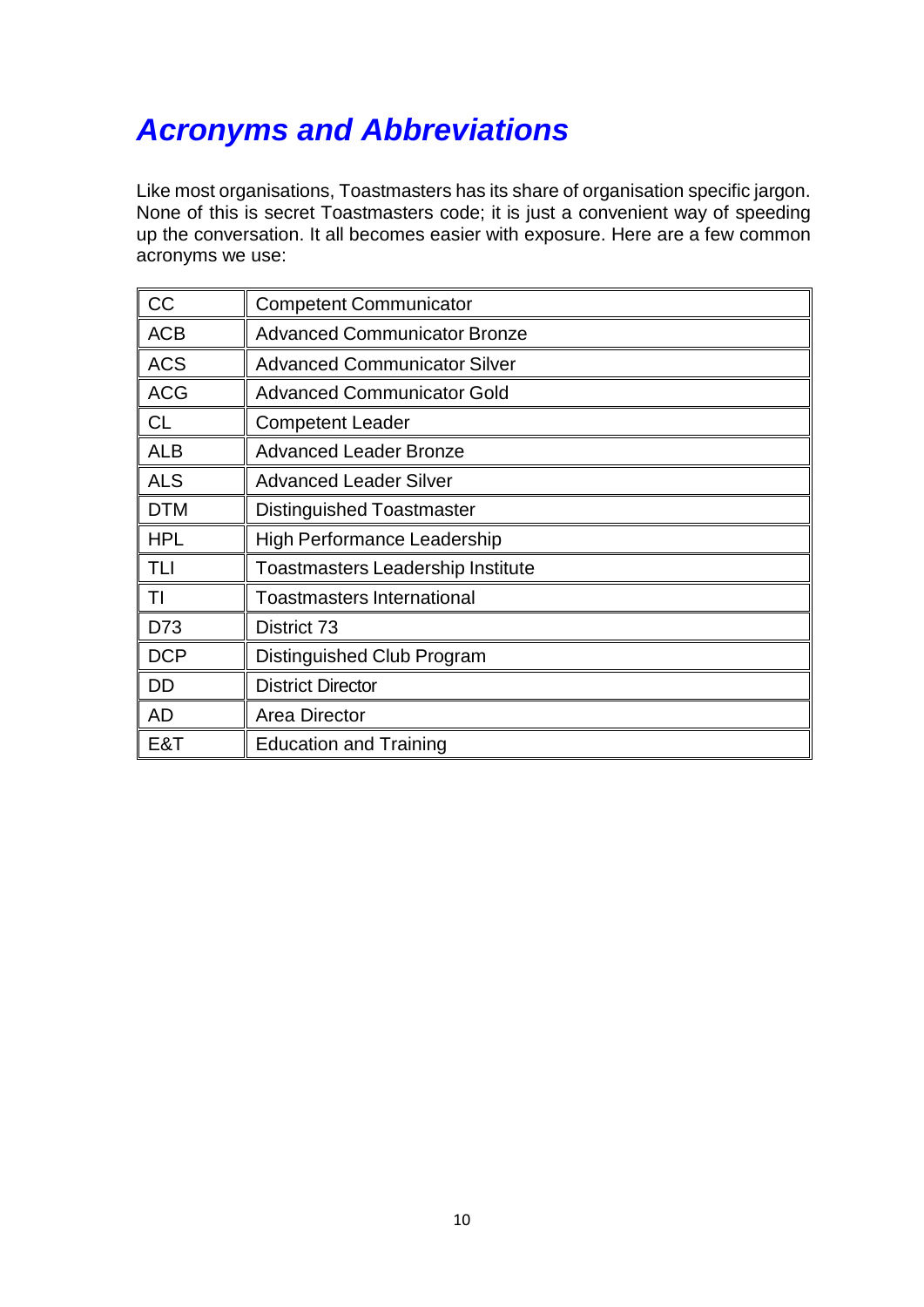# *Acronyms and Abbreviations*

Like most organisations, Toastmasters has its share of organisation specific jargon. None of this is secret Toastmasters code; it is just a convenient way of speeding up the conversation. It all becomes easier with exposure. Here are a few common acronyms we use:

| l cc       | <b>Competent Communicator</b>            |
|------------|------------------------------------------|
| ACB        | <b>Advanced Communicator Bronze</b>      |
| <b>ACS</b> | <b>Advanced Communicator Silver</b>      |
| <b>ACG</b> | <b>Advanced Communicator Gold</b>        |
| <b>CL</b>  | <b>Competent Leader</b>                  |
| ALB        | <b>Advanced Leader Bronze</b>            |
| <b>ALS</b> | <b>Advanced Leader Silver</b>            |
| <b>DTM</b> | <b>Distinguished Toastmaster</b>         |
| <b>HPL</b> | <b>High Performance Leadership</b>       |
| TLI        | <b>Toastmasters Leadership Institute</b> |
| TI         | <b>Toastmasters International</b>        |
| D73        | District 73                              |
| <b>DCP</b> | Distinguished Club Program               |
| <b>DD</b>  | <b>District Director</b>                 |
| <b>AD</b>  | <b>Area Director</b>                     |
| E&T        | <b>Education and Training</b>            |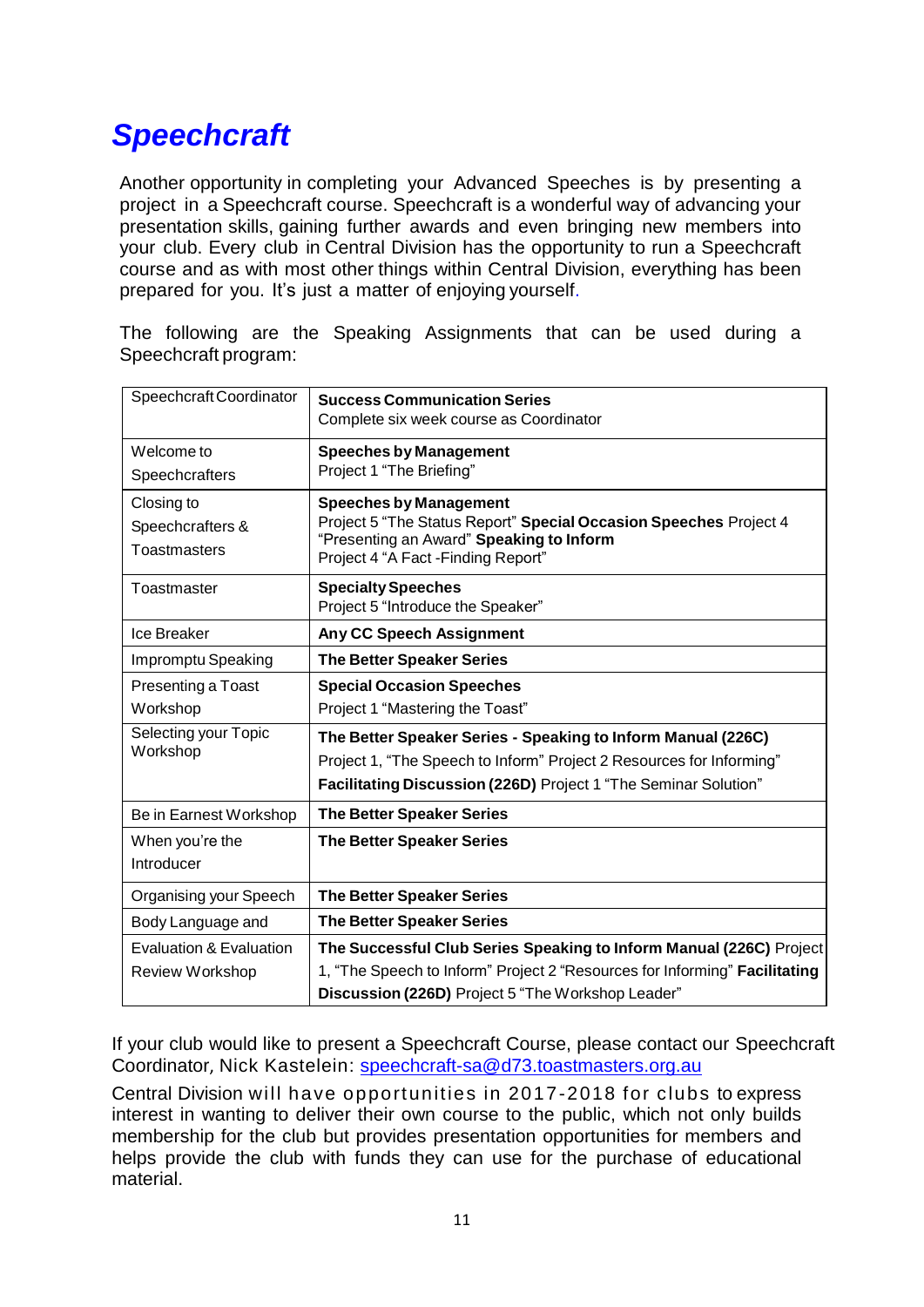# *Speechcraft*

Another opportunity in completing your Advanced Speeches is by presenting a project in a Speechcraft course. Speechcraft is a wonderful way of advancing your presentation skills, gaining further awards and even bringing new members into your club. Every club in Central Division has the opportunity to run a Speechcraft course and as with most other things within Central Division, everything has been prepared for you. It's just a matter of enjoying yourself.

The following are the Speaking Assignments that can be used during a Speechcraft program:

| Speechcraft Coordinator                        | <b>Success Communication Series</b><br>Complete six week course as Coordinator                                                                                                                          |
|------------------------------------------------|---------------------------------------------------------------------------------------------------------------------------------------------------------------------------------------------------------|
| Welcome to<br>Speechcrafters                   | <b>Speeches by Management</b><br>Project 1 "The Briefing"                                                                                                                                               |
| Closing to<br>Speechcrafters &<br>Toastmasters | <b>Speeches by Management</b><br>Project 5 "The Status Report" Special Occasion Speeches Project 4<br>"Presenting an Award" Speaking to Inform<br>Project 4 "A Fact - Finding Report"                   |
| Toastmaster                                    | <b>Specialty Speeches</b><br>Project 5 "Introduce the Speaker"                                                                                                                                          |
| Ice Breaker                                    | Any CC Speech Assignment                                                                                                                                                                                |
| Impromptu Speaking                             | <b>The Better Speaker Series</b>                                                                                                                                                                        |
| Presenting a Toast                             | <b>Special Occasion Speeches</b>                                                                                                                                                                        |
| Workshop                                       | Project 1 "Mastering the Toast"                                                                                                                                                                         |
| Selecting your Topic<br>Workshop               | The Better Speaker Series - Speaking to Inform Manual (226C)<br>Project 1, "The Speech to Inform" Project 2 Resources for Informing"<br>Facilitating Discussion (226D) Project 1 "The Seminar Solution" |
| Be in Earnest Workshop                         | <b>The Better Speaker Series</b>                                                                                                                                                                        |
| When you're the<br>Introducer                  | <b>The Better Speaker Series</b>                                                                                                                                                                        |
| Organising your Speech                         | <b>The Better Speaker Series</b>                                                                                                                                                                        |
| Body Language and                              | <b>The Better Speaker Series</b>                                                                                                                                                                        |
| Evaluation & Evaluation                        | The Successful Club Series Speaking to Inform Manual (226C) Project                                                                                                                                     |
| Review Workshop                                | 1, "The Speech to Inform" Project 2 "Resources for Informing" Facilitating                                                                                                                              |
|                                                | Discussion (226D) Project 5 "The Workshop Leader"                                                                                                                                                       |

If your club would like to present a Speechcraft Course, please contact our Speechcraft Coordinator, Nick Kastelein: [speechcraft-sa@d73.toastmasters.org.au](mailto:speechcraft-sa@d73.toastmasters.org.au)

Central Division will have opportunities in 2017-2018 for clubs to express interest in wanting to deliver their own course to the public, which not only builds membership for the club but provides presentation opportunities for members and helps provide the club with funds they can use for the purchase of educational material.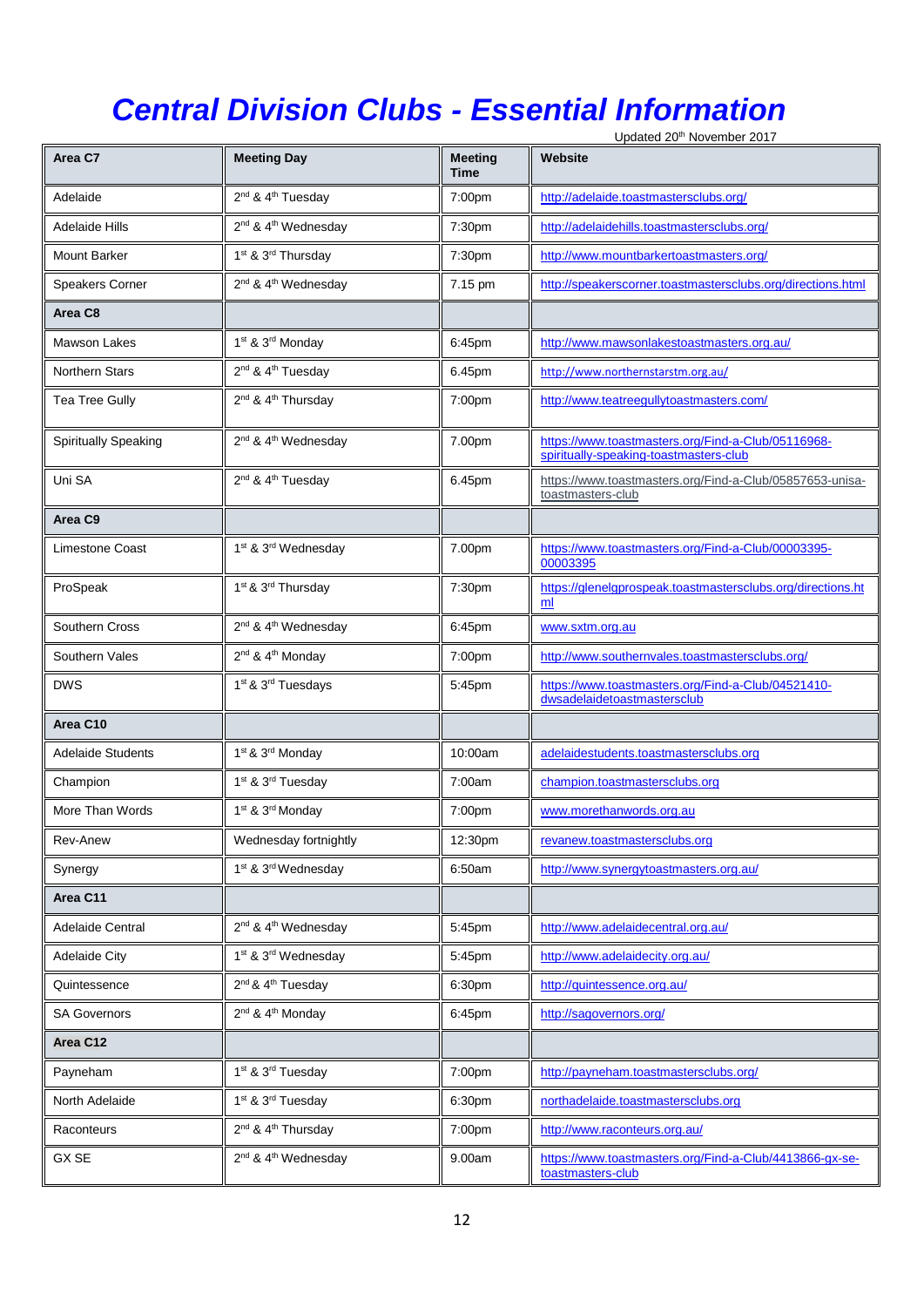# *Central Division Clubs - Essential Information*

Updated 20<sup>th</sup> November 2017

| Area C7                     | <b>Meeting Day</b>                          | <b>Meeting</b><br>Time | Website                                                                                      |
|-----------------------------|---------------------------------------------|------------------------|----------------------------------------------------------------------------------------------|
| Adelaide                    | 2 <sup>nd</sup> & 4 <sup>th</sup> Tuesday   | 7:00pm                 | http://adelaide.toastmastersclubs.org/                                                       |
| Adelaide Hills              | $2nd$ & $4th$ Wednesday                     | 7:30pm                 | http://adelaidehills.toastmastersclubs.org/                                                  |
| <b>Mount Barker</b>         | 1 <sup>st</sup> & 3 <sup>rd</sup> Thursday  | 7:30pm                 | http://www.mountbarkertoastmasters.org/                                                      |
| Speakers Corner             | 2 <sup>nd</sup> & 4 <sup>th</sup> Wednesday | 7.15 pm                | http://speakerscorner.toastmastersclubs.org/directions.html                                  |
| Area C8                     |                                             |                        |                                                                                              |
| Mawson Lakes                | 1 <sup>st</sup> & 3 <sup>rd</sup> Monday    | 6:45pm                 | http://www.mawsonlakestoastmasters.org.au/                                                   |
| Northern Stars              | 2 <sup>nd</sup> & 4 <sup>th</sup> Tuesday   | 6.45pm                 | http://www.northernstarstm.org.au/                                                           |
| Tea Tree Gully              | $2nd$ & 4 <sup>th</sup> Thursday            | 7:00pm                 | http://www.teatreegullytoastmasters.com/                                                     |
| <b>Spiritually Speaking</b> | $2nd$ & $4th$ Wednesday                     | 7.00pm                 | https://www.toastmasters.org/Find-a-Club/05116968-<br>spiritually-speaking-toastmasters-club |
| Uni SA                      | 2 <sup>nd</sup> & 4 <sup>th</sup> Tuesday   | 6.45pm                 | https://www.toastmasters.org/Find-a-Club/05857653-unisa-<br>toastmasters-club                |
| Area C9                     |                                             |                        |                                                                                              |
| <b>Limestone Coast</b>      | 1 <sup>st</sup> & 3 <sup>rd</sup> Wednesday | 7.00pm                 | https://www.toastmasters.org/Find-a-Club/00003395-<br>00003395                               |
| ProSpeak                    | 1st & 3rd Thursday                          | 7:30pm                 | https://glenelgprospeak.toastmastersclubs.org/directions.ht<br>ml                            |
| Southern Cross              | 2 <sup>nd</sup> & 4 <sup>th</sup> Wednesday | 6:45pm                 | www.sxtm.org.au                                                                              |
| Southern Vales              | 2 <sup>nd</sup> & 4 <sup>th</sup> Monday    | 7:00pm                 | http://www.southernvales.toastmastersclubs.org/                                              |
| <b>DWS</b>                  | 1 <sup>st</sup> & 3 <sup>rd</sup> Tuesdays  | 5:45pm                 | https://www.toastmasters.org/Find-a-Club/04521410-<br>dwsadelaidetoastmastersclub            |
| Area C10                    |                                             |                        |                                                                                              |
| <b>Adelaide Students</b>    | 1 <sup>st</sup> & 3 <sup>rd</sup> Monday    | 10:00am                | adelaidestudents.toastmastersclubs.org                                                       |
| Champion                    | 1 <sup>st</sup> & 3 <sup>rd</sup> Tuesday   | 7:00am                 | champion.toastmastersclubs.org                                                               |
| More Than Words             | 1 <sup>st</sup> & 3 <sup>rd</sup> Monday    | 7:00pm                 | www.morethanwords.org.au                                                                     |
| Rev-Anew                    | Wednesday fortnightly                       | 12:30pm                | revanew.toastmastersclubs.org                                                                |
| Synergy                     | 1st & 3rd Wednesday                         | 6:50am                 | http://www.synergytoastmasters.org.au/                                                       |
| Area C11                    |                                             |                        |                                                                                              |
| Adelaide Central            | $2nd$ & $4th$ Wednesday                     | 5:45pm                 | http://www.adelaidecentral.org.au/                                                           |
| <b>Adelaide City</b>        | 1 <sup>st</sup> & 3 <sup>rd</sup> Wednesday | 5:45pm                 | http://www.adelaidecity.org.au/                                                              |
| Quintessence                | 2 <sup>nd</sup> & 4 <sup>th</sup> Tuesday   | 6:30pm                 | http://quintessence.org.au/                                                                  |
| <b>SA Governors</b>         | $2nd$ & $4th$ Monday                        | 6:45pm                 | http://sagovernors.org/                                                                      |
| Area C12                    |                                             |                        |                                                                                              |
| Payneham                    | 1 <sup>st</sup> & 3 <sup>rd</sup> Tuesday   | 7:00pm                 | http://payneham.toastmastersclubs.org/                                                       |
| North Adelaide              | 1 <sup>st</sup> & 3 <sup>rd</sup> Tuesday   | 6:30pm                 | northadelaide.toastmastersclubs.org                                                          |
| Raconteurs                  | 2 <sup>nd</sup> & 4 <sup>th</sup> Thursday  | 7:00pm                 | http://www.raconteurs.org.au/                                                                |
| GX SE                       | $2nd$ & 4 <sup>th</sup> Wednesday           | 9.00am                 | https://www.toastmasters.org/Find-a-Club/4413866-gx-se-<br>toastmasters-club                 |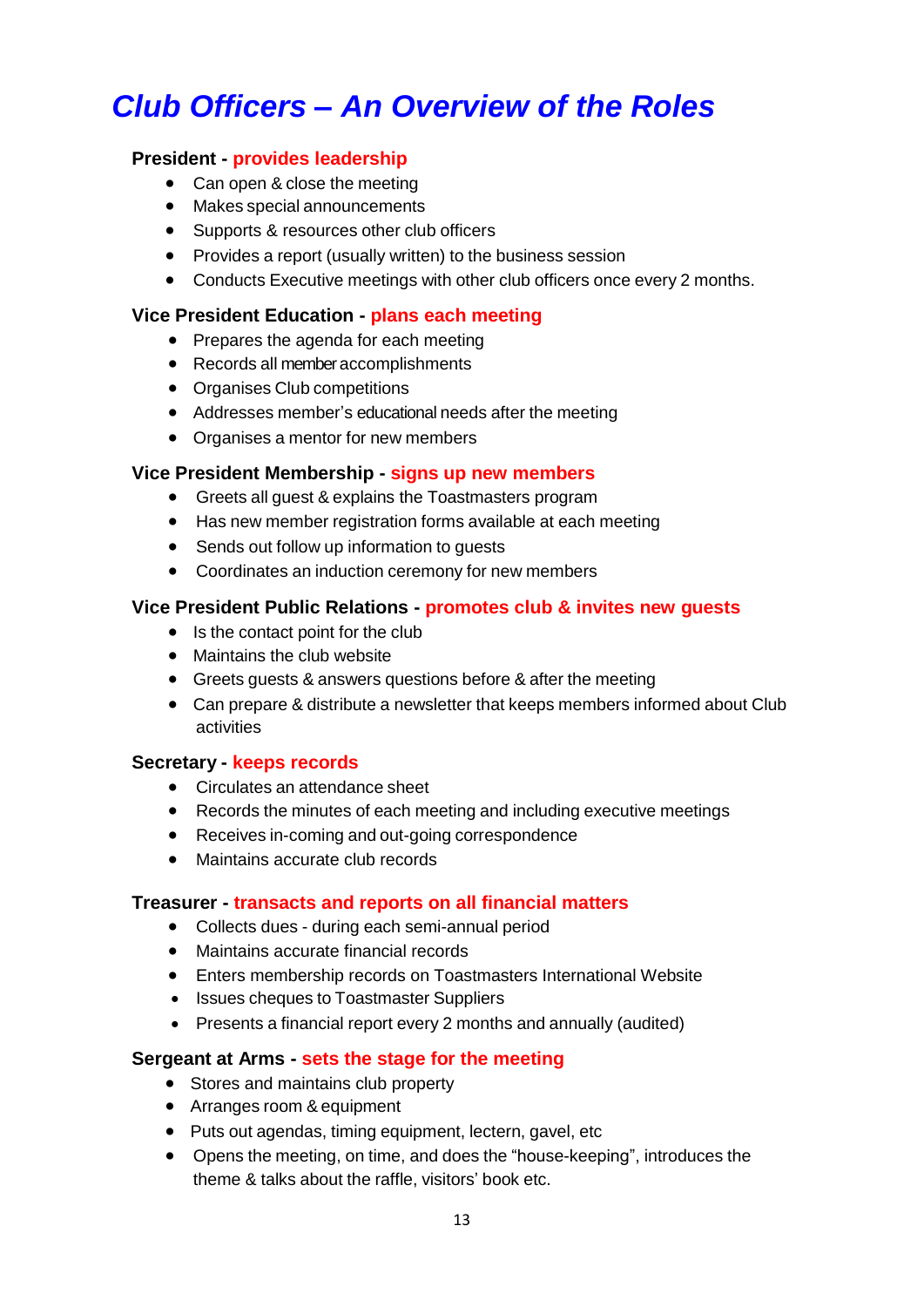# *Club Officers – An Overview of the Roles*

#### **President - provides leadership**

- Can open & close the meeting
- Makes special announcements
- Supports & resources other club officers
- Provides a report (usually written) to the business session
- Conducts Executive meetings with other club officers once every 2 months.

#### **Vice President Education - plans each meeting**

- Prepares the agenda for each meeting
- Records all member accomplishments
- Organises Club competitions
- Addresses member's educational needs after the meeting
- Organises a mentor for new members

#### **Vice President Membership - signs up new members**

- Greets all guest & explains the Toastmasters program
- Has new member registration forms available at each meeting
- Sends out follow up information to quests
- Coordinates an induction ceremony for new members

#### **Vice President Public Relations - promotes club & invites new guests**

- Is the contact point for the club
- Maintains the club website
- Greets guests & answers questions before & after the meeting
- Can prepare & distribute a newsletter that keeps members informed about Club activities

#### **Secretary - keeps records**

- Circulates an attendance sheet
- Records the minutes of each meeting and including executive meetings
- Receives in-coming and out-going correspondence
- Maintains accurate club records

#### **Treasurer - transacts and reports on all financial matters**

- Collects dues during each semi-annual period
- Maintains accurate financial records
- Enters membership records on Toastmasters International Website
- Issues cheques to Toastmaster Suppliers
- Presents a financial report every 2 months and annually (audited)

#### **Sergeant at Arms - sets the stage for the meeting**

- Stores and maintains club property
- Arranges room & equipment
- Puts out agendas, timing equipment, lectern, gavel, etc
- Opens the meeting, on time, and does the "house-keeping", introduces the theme & talks about the raffle, visitors' book etc.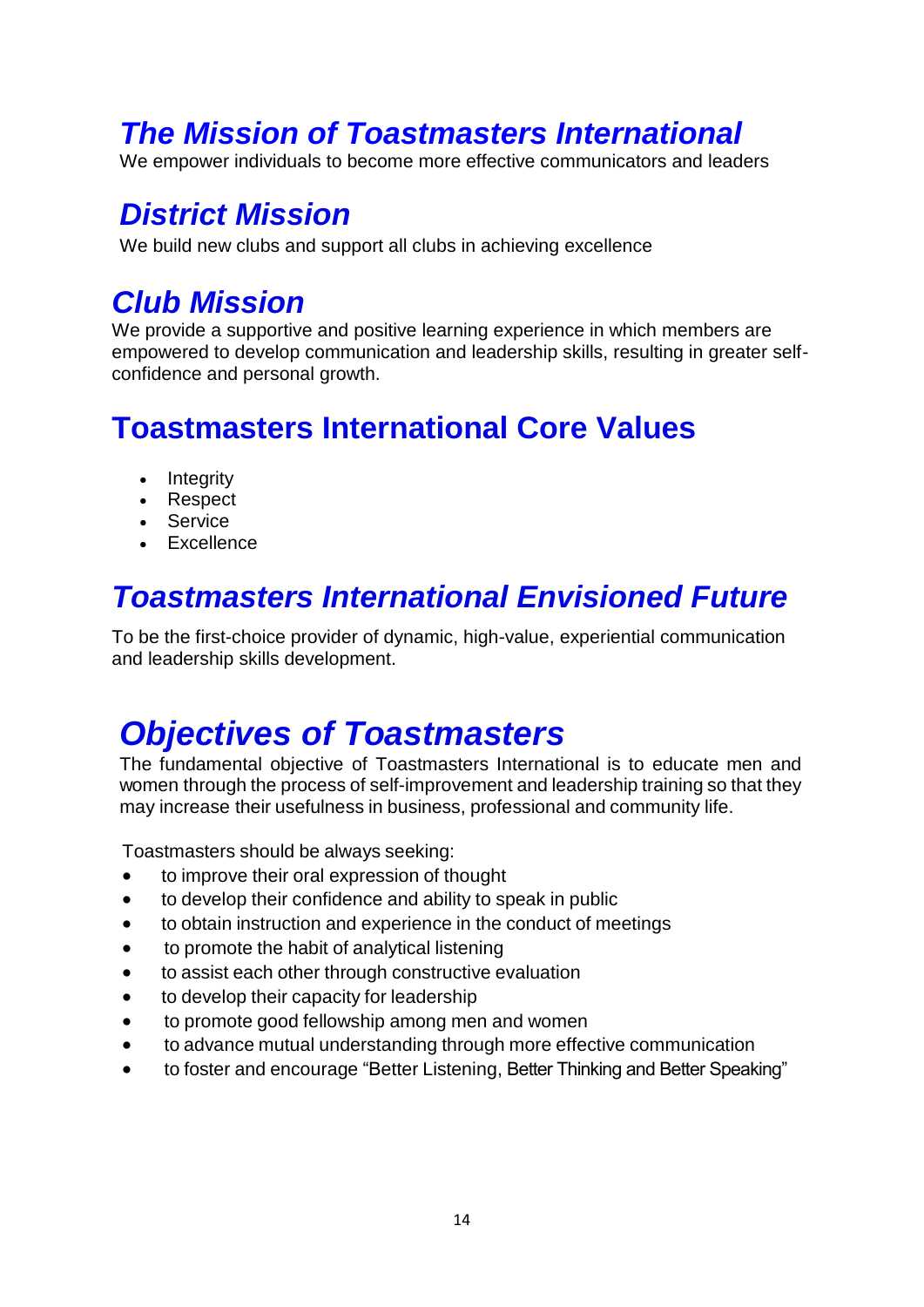# *The Mission of Toastmasters International*

We empower individuals to become more effective communicators and leaders

### *District Mission*

We build new clubs and support all clubs in achieving excellence

#### *Club Mission*

We provide a supportive and positive learning experience in which members are empowered to develop communication and leadership skills, resulting in greater selfconfidence and personal growth.

### **Toastmasters International Core Values**

- Integrity
- Respect
- Service
- Excellence

### *Toastmasters International Envisioned Future*

To be the first-choice provider of dynamic, high-value, experiential communication and leadership skills development.

# *Objectives of Toastmasters*

The fundamental objective of Toastmasters International is to educate men and women through the process of self-improvement and leadership training so that they may increase their usefulness in business, professional and community life.

Toastmasters should be always seeking:

- to improve their oral expression of thought
- to develop their confidence and ability to speak in public
- to obtain instruction and experience in the conduct of meetings
- to promote the habit of analytical listening
- to assist each other through constructive evaluation
- to develop their capacity for leadership
- to promote good fellowship among men and women
- to advance mutual understanding through more effective communication
- to foster and encourage "Better Listening, Better Thinking and Better Speaking"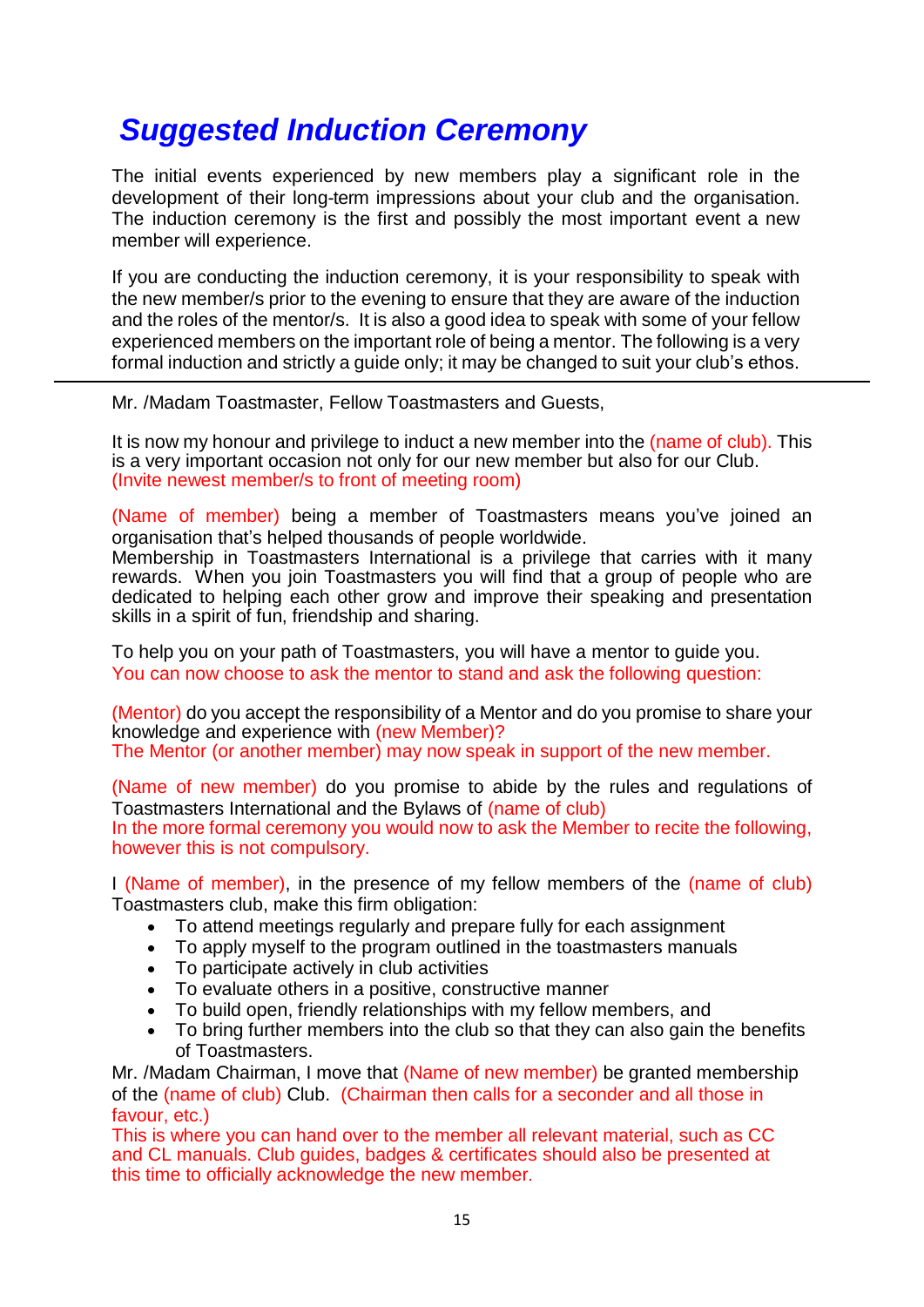# *Suggested Induction Ceremony*

The initial events experienced by new members play a significant role in the development of their long-term impressions about your club and the organisation. The induction ceremony is the first and possibly the most important event a new member will experience.

If you are conducting the induction ceremony, it is your responsibility to speak with the new member/s prior to the evening to ensure that they are aware of the induction and the roles of the mentor/s. It is also a good idea to speak with some of your fellow experienced members on the important role of being a mentor. The following is a very formal induction and strictly a guide only; it may be changed to suit your club's ethos.

Mr. /Madam Toastmaster, Fellow Toastmasters and Guests,

It is now my honour and privilege to induct a new member into the (name of club). This is a very important occasion not only for our new member but also for our Club. (Invite newest member/s to front of meeting room)

(Name of member) being a member of Toastmasters means you've joined an organisation that's helped thousands of people worldwide.

Membership in Toastmasters International is a privilege that carries with it many rewards. When you join Toastmasters you will find that a group of people who are dedicated to helping each other grow and improve their speaking and presentation skills in a spirit of fun, friendship and sharing.

To help you on your path of Toastmasters, you will have a mentor to guide you. You can now choose to ask the mentor to stand and ask the following question:

(Mentor) do you accept the responsibility of a Mentor and do you promise to share your knowledge and experience with (new Member)?

The Mentor (or another member) may now speak in support of the new member.

(Name of new member) do you promise to abide by the rules and regulations of Toastmasters International and the Bylaws of (name of club) In the more formal ceremony you would now to ask the Member to recite the following, however this is not compulsory.

I (Name of member), in the presence of my fellow members of the (name of club) Toastmasters club, make this firm obligation:

- To attend meetings regularly and prepare fully for each assignment
- To apply myself to the program outlined in the toastmasters manuals
- To participate actively in club activities
- To evaluate others in a positive, constructive manner
- To build open, friendly relationships with my fellow members, and
- To bring further members into the club so that they can also gain the benefits of Toastmasters.

Mr. /Madam Chairman, I move that (Name of new member) be granted membership of the (name of club) Club. (Chairman then calls for a seconder and all those in favour, etc.)

This is where you can hand over to the member all relevant material, such as CC and CL manuals. Club guides, badges & certificates should also be presented at this time to officially acknowledge the new member.